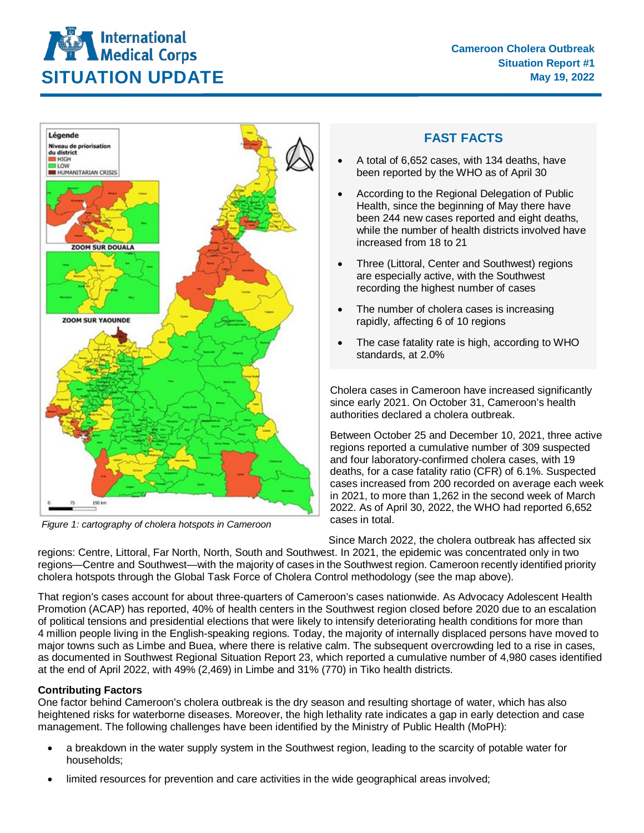



*Figure 1: cartography of cholera hotspots in Cameroon*

## **FAST FACTS**

- A total of 6,652 cases, with 134 deaths, have been reported by the WHO as of April 30
- According to the Regional Delegation of Public Health, since the beginning of May there have been 244 new cases reported and eight deaths, while the number of health districts involved have increased from 18 to 21
- Three (Littoral, Center and Southwest) regions are especially active, with the Southwest recording the highest number of cases
- The number of cholera cases is increasing rapidly, affecting 6 of 10 regions
- The case fatality rate is high, according to WHO standards, at 2.0%

Cholera cases in Cameroon have increased significantly since early 2021. On October 31, Cameroon's health authorities declared a cholera outbreak.

Between October 25 and December 10, 2021, three active regions reported a cumulative number of 309 suspected and four laboratory-confirmed cholera cases, with 19 deaths, for a case fatality ratio (CFR) of 6.1%. Suspected cases increased from 200 recorded on average each week in 2021, to more than 1,262 in the second week of March 2022. As of April 30, 2022, the WHO had reported 6,652 cases in total.

Since March 2022, the cholera outbreak has affected six regions: Centre, Littoral, Far North, North, South and Southwest. In 2021, the epidemic was concentrated only in two regions—Centre and Southwest—with the majority of cases in the Southwest region. Cameroon recently identified priority cholera hotspots through the Global Task Force of Cholera Control methodology (see the map above).

That region's cases account for about three-quarters of Cameroon's cases nationwide. As Advocacy Adolescent Health Promotion (ACAP) has reported, 40% of health centers in the Southwest region closed before 2020 due to an escalation of political tensions and presidential elections that were likely to intensify deteriorating health conditions for more than 4 million people living in the English-speaking regions. Today, the majority of internally displaced persons have moved to major towns such as Limbe and Buea, where there is relative calm. The subsequent overcrowding led to a rise in cases, as documented in Southwest Regional Situation Report 23, which reported a cumulative number of 4,980 cases identified at the end of April 2022, with 49% (2,469) in Limbe and 31% (770) in Tiko health districts.

## **Contributing Factors**

One factor behind Cameroon's cholera outbreak is the dry season and resulting shortage of water, which has also heightened risks for waterborne diseases. Moreover, the high lethality rate indicates a gap in early detection and case management. The following challenges have been identified by the Ministry of Public Health (MoPH):

- a breakdown in the water supply system in the Southwest region, leading to the scarcity of potable water for households;
- limited resources for prevention and care activities in the wide geographical areas involved;